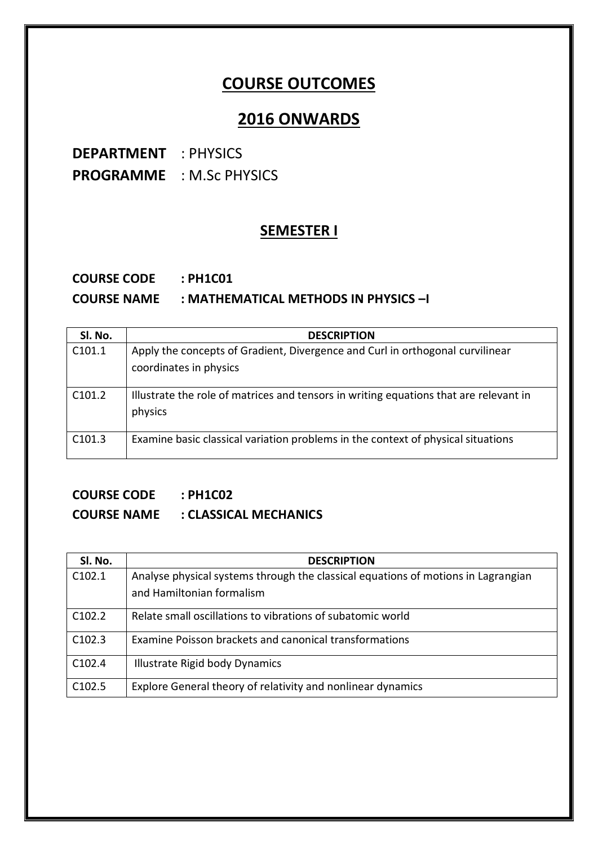## **COURSE OUTCOMES**

## **2016 ONWARDS**

**DEPARTMENT** : PHYSICS **PROGRAMME** : M.Sc PHYSICS

#### **SEMESTER I**

#### **COURSE CODE : PH1C01 COURSE NAME : MATHEMATICAL METHODS IN PHYSICS –I**

| SI. No.            | <b>DESCRIPTION</b>                                                                                      |
|--------------------|---------------------------------------------------------------------------------------------------------|
| C <sub>101.1</sub> | Apply the concepts of Gradient, Divergence and Curl in orthogonal curvilinear<br>coordinates in physics |
| C101.2             | Illustrate the role of matrices and tensors in writing equations that are relevant in<br>physics        |
| C101.3             | Examine basic classical variation problems in the context of physical situations                        |

#### **COURSE CODE : PH1C02**

## **COURSE NAME : CLASSICAL MECHANICS**

| Sl. No. | <b>DESCRIPTION</b>                                                                |
|---------|-----------------------------------------------------------------------------------|
| C102.1  | Analyse physical systems through the classical equations of motions in Lagrangian |
|         | and Hamiltonian formalism                                                         |
| C102.2  | Relate small oscillations to vibrations of subatomic world                        |
| C102.3  | Examine Poisson brackets and canonical transformations                            |
| C102.4  | Illustrate Rigid body Dynamics                                                    |
| C102.5  | Explore General theory of relativity and nonlinear dynamics                       |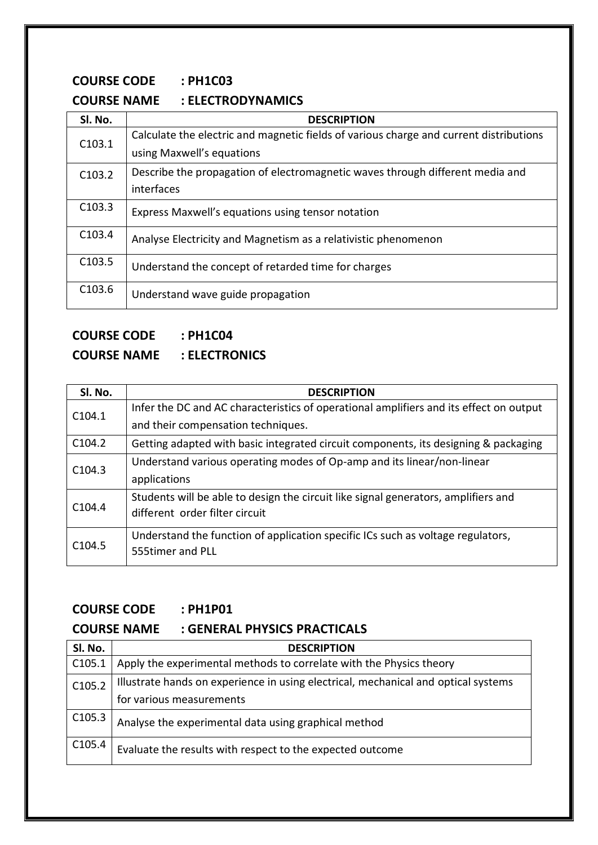#### **COURSE CODE : PH1C03**

#### **COURSE NAME : ELECTRODYNAMICS**

| SI. No.            | <b>DESCRIPTION</b>                                                                     |
|--------------------|----------------------------------------------------------------------------------------|
| C103.1             | Calculate the electric and magnetic fields of various charge and current distributions |
|                    | using Maxwell's equations                                                              |
| C <sub>103.2</sub> | Describe the propagation of electromagnetic waves through different media and          |
|                    | interfaces                                                                             |
| C103.3             | Express Maxwell's equations using tensor notation                                      |
|                    |                                                                                        |
| C <sub>103.4</sub> | Analyse Electricity and Magnetism as a relativistic phenomenon                         |
| C103.5             | Understand the concept of retarded time for charges                                    |
|                    |                                                                                        |
| C103.6             | Understand wave guide propagation                                                      |

## **COURSE CODE : PH1C04**

#### **COURSE NAME : ELECTRONICS**

| SI. No.            | <b>DESCRIPTION</b>                                                                     |
|--------------------|----------------------------------------------------------------------------------------|
| C104.1             | Infer the DC and AC characteristics of operational amplifiers and its effect on output |
|                    | and their compensation techniques.                                                     |
| C <sub>104.2</sub> | Getting adapted with basic integrated circuit components, its designing & packaging    |
| C <sub>104.3</sub> | Understand various operating modes of Op-amp and its linear/non-linear                 |
|                    | applications                                                                           |
|                    | Students will be able to design the circuit like signal generators, amplifiers and     |
| C <sub>104.4</sub> | different order filter circuit                                                         |
| C <sub>104.5</sub> | Understand the function of application specific ICs such as voltage regulators,        |
|                    | 555timer and PLL                                                                       |
|                    |                                                                                        |

#### **COURSE CODE : PH1P01**

### **COURSE NAME : GENERAL PHYSICS PRACTICALS**

| Sl. No.            | <b>DESCRIPTION</b>                                                                 |
|--------------------|------------------------------------------------------------------------------------|
| C105.1             | Apply the experimental methods to correlate with the Physics theory                |
| C105.2             | Illustrate hands on experience in using electrical, mechanical and optical systems |
|                    | for various measurements                                                           |
| C <sub>105.3</sub> | Analyse the experimental data using graphical method                               |
| C <sub>105.4</sub> | Evaluate the results with respect to the expected outcome                          |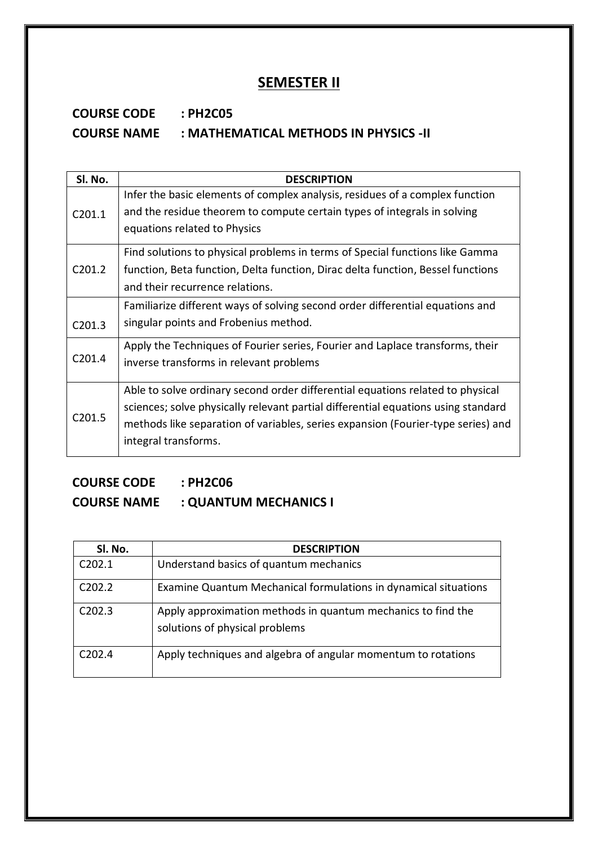#### **SEMESTER II**

## **COURSE CODE : PH2C05 COURSE NAME : MATHEMATICAL METHODS IN PHYSICS -II**

| SI. No.            | <b>DESCRIPTION</b>                                                                |
|--------------------|-----------------------------------------------------------------------------------|
|                    | Infer the basic elements of complex analysis, residues of a complex function      |
| C <sub>201.1</sub> | and the residue theorem to compute certain types of integrals in solving          |
|                    | equations related to Physics                                                      |
|                    | Find solutions to physical problems in terms of Special functions like Gamma      |
| C201.2             | function, Beta function, Delta function, Dirac delta function, Bessel functions   |
|                    | and their recurrence relations.                                                   |
|                    | Familiarize different ways of solving second order differential equations and     |
| C201.3             | singular points and Frobenius method.                                             |
|                    | Apply the Techniques of Fourier series, Fourier and Laplace transforms, their     |
| C <sub>201.4</sub> | inverse transforms in relevant problems                                           |
|                    | Able to solve ordinary second order differential equations related to physical    |
| C201.5             | sciences; solve physically relevant partial differential equations using standard |
|                    | methods like separation of variables, series expansion (Fourier-type series) and  |
|                    | integral transforms.                                                              |

## **COURSE CODE : PH2C06**

## **COURSE NAME : QUANTUM MECHANICS I**

| SI. No.            | <b>DESCRIPTION</b>                                                                             |
|--------------------|------------------------------------------------------------------------------------------------|
| C202.1             | Understand basics of quantum mechanics                                                         |
| C <sub>202.2</sub> | Examine Quantum Mechanical formulations in dynamical situations                                |
| C202.3             | Apply approximation methods in quantum mechanics to find the<br>solutions of physical problems |
| C <sub>202.4</sub> | Apply techniques and algebra of angular momentum to rotations                                  |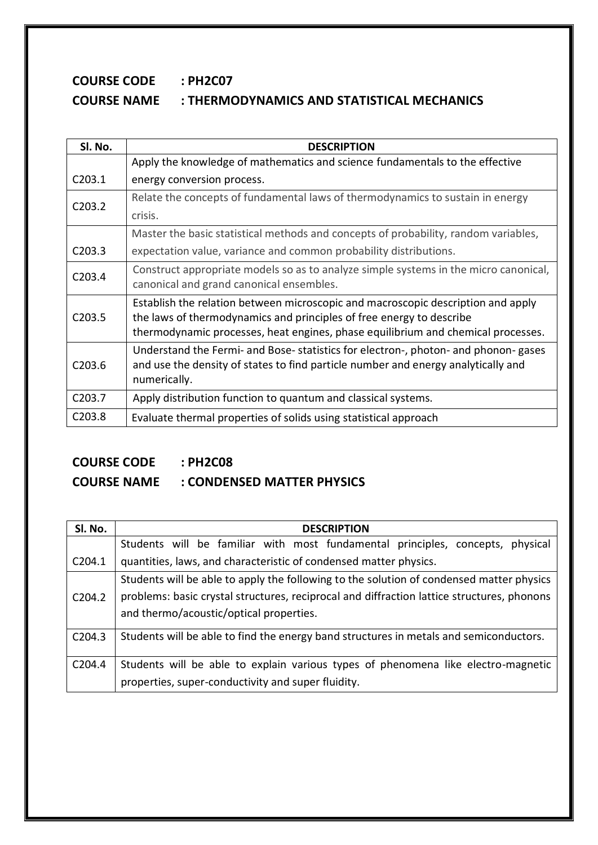## **COURSE CODE : PH2C07 COURSE NAME : THERMODYNAMICS AND STATISTICAL MECHANICS**

| Sl. No.            | <b>DESCRIPTION</b>                                                                   |
|--------------------|--------------------------------------------------------------------------------------|
|                    | Apply the knowledge of mathematics and science fundamentals to the effective         |
| C203.1             | energy conversion process.                                                           |
| C203.2             | Relate the concepts of fundamental laws of thermodynamics to sustain in energy       |
|                    | crisis.                                                                              |
|                    | Master the basic statistical methods and concepts of probability, random variables,  |
| C <sub>203.3</sub> | expectation value, variance and common probability distributions.                    |
| C <sub>203.4</sub> | Construct appropriate models so as to analyze simple systems in the micro canonical, |
|                    | canonical and grand canonical ensembles.                                             |
|                    | Establish the relation between microscopic and macroscopic description and apply     |
| C <sub>203.5</sub> | the laws of thermodynamics and principles of free energy to describe                 |
|                    | thermodynamic processes, heat engines, phase equilibrium and chemical processes.     |
|                    | Understand the Fermi- and Bose- statistics for electron-, photon- and phonon- gases  |
| C <sub>203.6</sub> | and use the density of states to find particle number and energy analytically and    |
|                    | numerically.                                                                         |
| C203.7             | Apply distribution function to quantum and classical systems.                        |
| C <sub>203.8</sub> | Evaluate thermal properties of solids using statistical approach                     |

# **COURSE CODE : PH2C08**

## **COURSE NAME : CONDENSED MATTER PHYSICS**

| SI. No.            | <b>DESCRIPTION</b>                                                                         |
|--------------------|--------------------------------------------------------------------------------------------|
|                    | Students will be familiar with most fundamental principles, concepts, physical             |
| C <sub>204.1</sub> | quantities, laws, and characteristic of condensed matter physics.                          |
|                    | Students will be able to apply the following to the solution of condensed matter physics   |
| C204.2             | problems: basic crystal structures, reciprocal and diffraction lattice structures, phonons |
|                    | and thermo/acoustic/optical properties.                                                    |
| C204.3             | Students will be able to find the energy band structures in metals and semiconductors.     |
| C204.4             | Students will be able to explain various types of phenomena like electro-magnetic          |
|                    | properties, super-conductivity and super fluidity.                                         |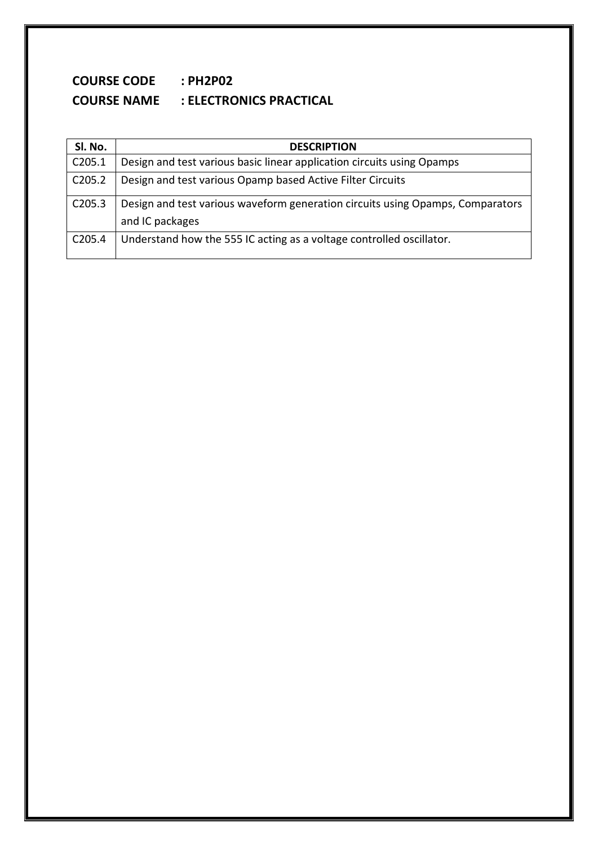## **COURSE CODE : PH2P02 COURSE NAME : ELECTRONICS PRACTICAL**

| SI. No.            | <b>DESCRIPTION</b>                                                             |
|--------------------|--------------------------------------------------------------------------------|
| C205.1             | Design and test various basic linear application circuits using Opamps         |
| C <sub>205.2</sub> | Design and test various Opamp based Active Filter Circuits                     |
| C205.3             | Design and test various waveform generation circuits using Opamps, Comparators |
|                    | and IC packages                                                                |
| C205.4             | Understand how the 555 IC acting as a voltage controlled oscillator.           |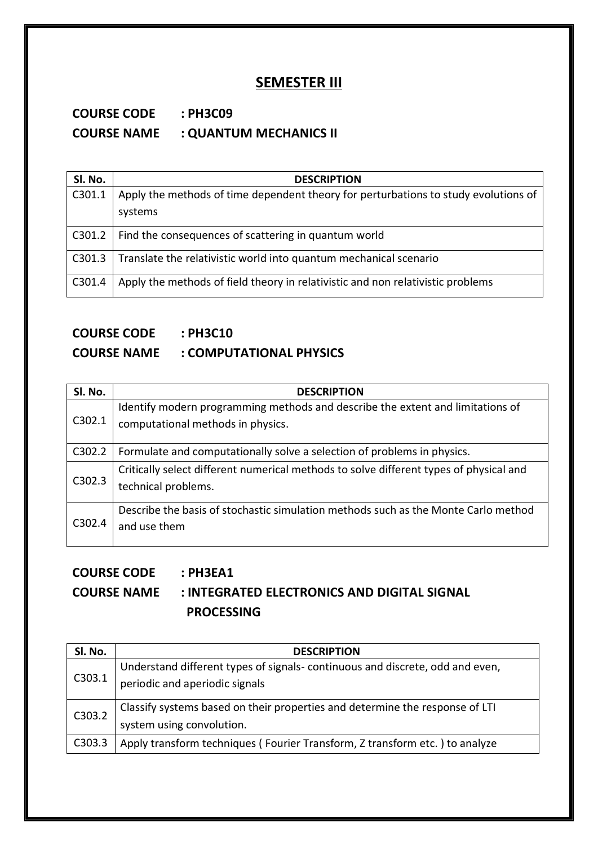#### **SEMESTER III**

#### **COURSE CODE : PH3C09 COURSE NAME : QUANTUM MECHANICS II**

| SI. No. | <b>DESCRIPTION</b>                                                                  |
|---------|-------------------------------------------------------------------------------------|
| C301.1  | Apply the methods of time dependent theory for perturbations to study evolutions of |
|         | systems                                                                             |
| C301.2  | Find the consequences of scattering in quantum world                                |
| C301.3  | Translate the relativistic world into quantum mechanical scenario                   |
| C301.4  | Apply the methods of field theory in relativistic and non relativistic problems     |

# **COURSE CODE : PH3C10**

#### **COURSE NAME : COMPUTATIONAL PHYSICS**

| Sl. No.             | <b>DESCRIPTION</b>                                                                                                  |
|---------------------|---------------------------------------------------------------------------------------------------------------------|
| C302.1              | Identify modern programming methods and describe the extent and limitations of<br>computational methods in physics. |
| C302.2              | Formulate and computationally solve a selection of problems in physics.                                             |
| C302.3              | Critically select different numerical methods to solve different types of physical and<br>technical problems.       |
| C <sub>3</sub> 02.4 | Describe the basis of stochastic simulation methods such as the Monte Carlo method<br>and use them                  |

## **COURSE CODE : PH3EA1 COURSE NAME : INTEGRATED ELECTRONICS AND DIGITAL SIGNAL PROCESSING**

| Sl. No. | <b>DESCRIPTION</b>                                                            |
|---------|-------------------------------------------------------------------------------|
| C303.1  | Understand different types of signals- continuous and discrete, odd and even, |
|         | periodic and aperiodic signals                                                |
| C303.2  | Classify systems based on their properties and determine the response of LTI  |
|         | system using convolution.                                                     |
| C303.3  | Apply transform techniques (Fourier Transform, Z transform etc.) to analyze   |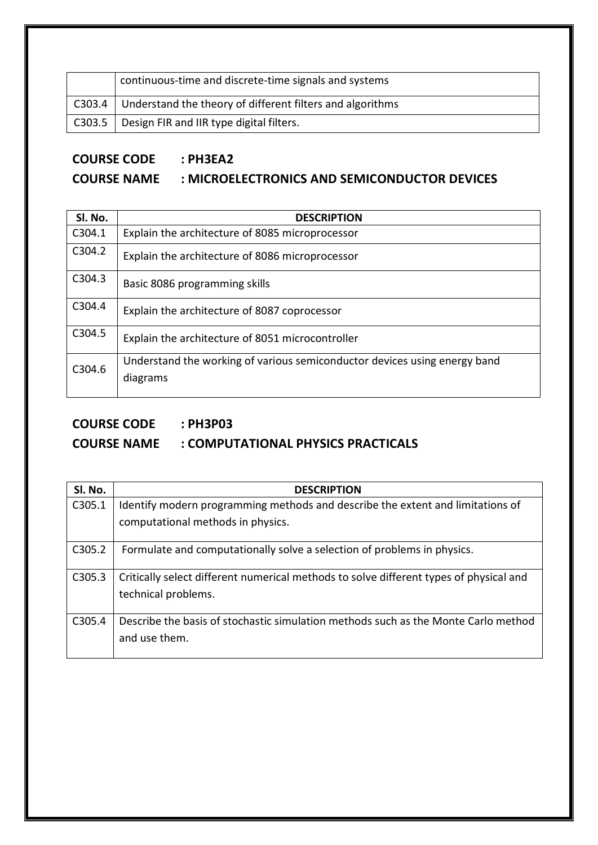|        | continuous-time and discrete-time signals and systems     |
|--------|-----------------------------------------------------------|
| C303.4 | Understand the theory of different filters and algorithms |
|        | C303.5   Design FIR and IIR type digital filters.         |

#### **COURSE CODE : PH3EA2**

#### **COURSE NAME : MICROELECTRONICS AND SEMICONDUCTOR DEVICES**

| SI. No. | <b>DESCRIPTION</b>                                                                    |
|---------|---------------------------------------------------------------------------------------|
| C304.1  | Explain the architecture of 8085 microprocessor                                       |
| C304.2  | Explain the architecture of 8086 microprocessor                                       |
| C304.3  | Basic 8086 programming skills                                                         |
| C304.4  | Explain the architecture of 8087 coprocessor                                          |
| C304.5  | Explain the architecture of 8051 microcontroller                                      |
| C304.6  | Understand the working of various semiconductor devices using energy band<br>diagrams |

#### **COURSE CODE : PH3P03**

#### **COURSE NAME : COMPUTATIONAL PHYSICS PRACTICALS**

| Sl. No. | <b>DESCRIPTION</b>                                                                     |
|---------|----------------------------------------------------------------------------------------|
| C305.1  | Identify modern programming methods and describe the extent and limitations of         |
|         | computational methods in physics.                                                      |
| C305.2  | Formulate and computationally solve a selection of problems in physics.                |
| C305.3  | Critically select different numerical methods to solve different types of physical and |
|         | technical problems.                                                                    |
| C305.4  | Describe the basis of stochastic simulation methods such as the Monte Carlo method     |
|         | and use them.                                                                          |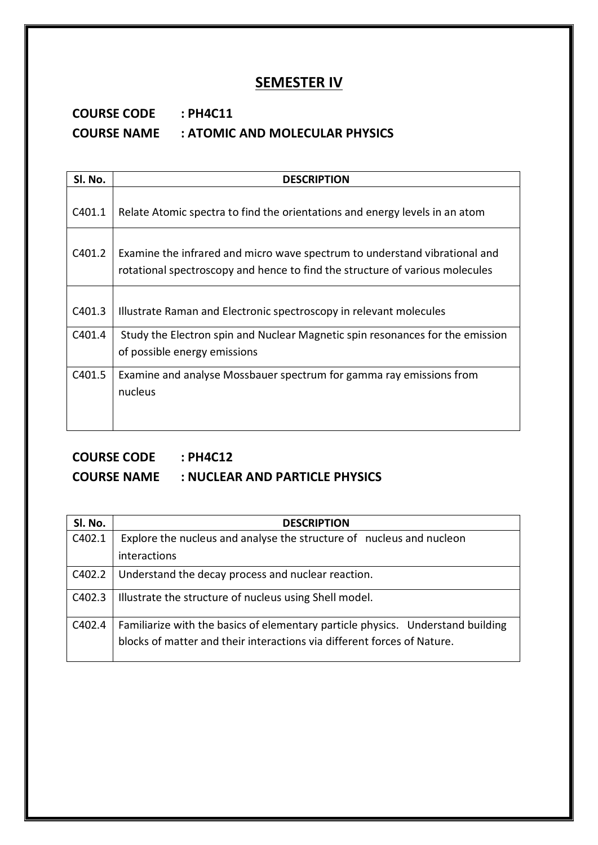#### **SEMESTER IV**

#### **COURSE CODE : PH4C11 COURSE NAME : ATOMIC AND MOLECULAR PHYSICS**

| SI. No. | <b>DESCRIPTION</b>                                                                                                                                         |
|---------|------------------------------------------------------------------------------------------------------------------------------------------------------------|
| C401.1  | Relate Atomic spectra to find the orientations and energy levels in an atom                                                                                |
| C401.2  | Examine the infrared and micro wave spectrum to understand vibrational and<br>rotational spectroscopy and hence to find the structure of various molecules |
| C401.3  | Illustrate Raman and Electronic spectroscopy in relevant molecules                                                                                         |
| C401.4  | Study the Electron spin and Nuclear Magnetic spin resonances for the emission<br>of possible energy emissions                                              |
| C401.5  | Examine and analyse Mossbauer spectrum for gamma ray emissions from<br>nucleus                                                                             |

#### **COURSE CODE : PH4C12 COURSE NAME : NUCLEAR AND PARTICLE PHYSICS**

| Sl. No. | <b>DESCRIPTION</b>                                                              |
|---------|---------------------------------------------------------------------------------|
| C402.1  | Explore the nucleus and analyse the structure of nucleus and nucleon            |
|         | <i>interactions</i>                                                             |
| C402.2  | Understand the decay process and nuclear reaction.                              |
| C402.3  | Illustrate the structure of nucleus using Shell model.                          |
| C402.4  | Familiarize with the basics of elementary particle physics. Understand building |
|         | blocks of matter and their interactions via different forces of Nature.         |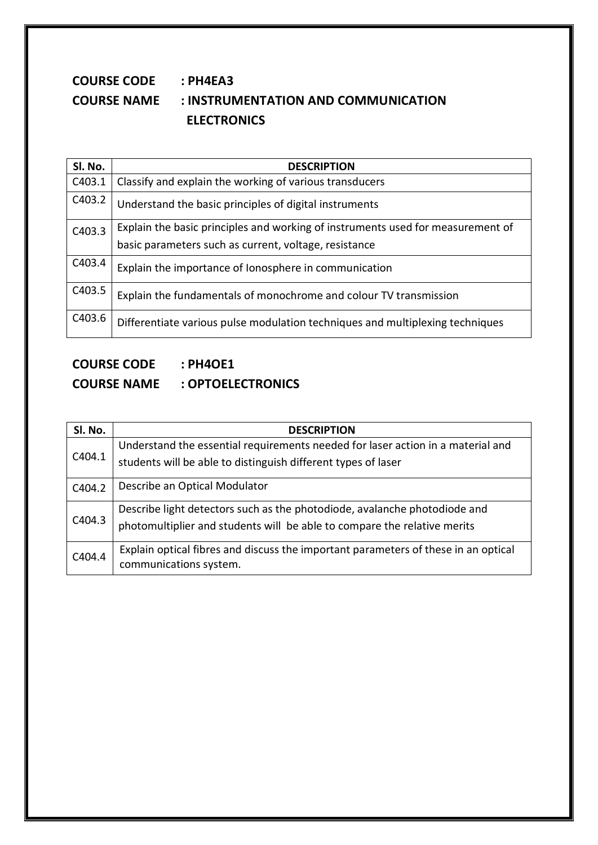#### **COURSE CODE : PH4EA3 COURSE NAME : INSTRUMENTATION AND COMMUNICATION ELECTRONICS**

| Sl. No. | <b>DESCRIPTION</b>                                                              |
|---------|---------------------------------------------------------------------------------|
| C403.1  | Classify and explain the working of various transducers                         |
| C403.2  | Understand the basic principles of digital instruments                          |
| C403.3  | Explain the basic principles and working of instruments used for measurement of |
|         | basic parameters such as current, voltage, resistance                           |
| C403.4  | Explain the importance of lonosphere in communication                           |
| C403.5  | Explain the fundamentals of monochrome and colour TV transmission               |
| C403.6  | Differentiate various pulse modulation techniques and multiplexing techniques   |

## **COURSE CODE : PH4OE1 COURSE NAME : OPTOELECTRONICS**

| Sl. No. | <b>DESCRIPTION</b>                                                                                                                                    |
|---------|-------------------------------------------------------------------------------------------------------------------------------------------------------|
| C404.1  | Understand the essential requirements needed for laser action in a material and<br>students will be able to distinguish different types of laser      |
| C404.2  | Describe an Optical Modulator                                                                                                                         |
| C404.3  | Describe light detectors such as the photodiode, avalanche photodiode and<br>photomultiplier and students will be able to compare the relative merits |
| C404.4  | Explain optical fibres and discuss the important parameters of these in an optical<br>communications system.                                          |